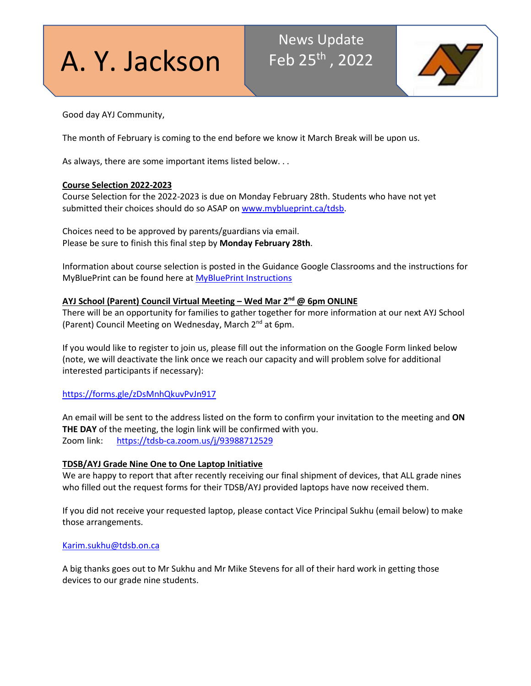A. Y. Jackson

# News Update Feb 25th , 2022



Good day AYJ Community,

The month of February is coming to the end before we know it March Break will be upon us.

As always, there are some important items listed below. . .

# **Course Selection 2022-2023**

Course Selection for the 2022-2023 is due on Monday February 28th. Students who have not yet submitted their choices should do so ASAP on [www.myblueprint.ca/tdsb.](http://www.myblueprint.ca/tdsb)

Choices need to be approved by parents/guardians via email. Please be sure to finish this final step by **Monday February 28th**.

Information about course selection is posted in the Guidance Google Classrooms and the instructions for MyBluePrint can be found here at [MyBluePrint Instructions](https://docs.google.com/document/d/1zQOdnRZCImPk6rjMt9JXhs7jA0aAXqvbKWJWjAKBbIY/edit?usp=sharing)

# **AYJ School (Parent) Council Virtual Meeting – Wed Mar 2nd @ 6pm ONLINE**

There will be an opportunity for families to gather together for more information at our next AYJ School (Parent) Council Meeting on Wednesday, March 2<sup>nd</sup> at 6pm.

If you would like to register to join us, please fill out the information on the Google Form linked below (note, we will deactivate the link once we reach our capacity and will problem solve for additional interested participants if necessary):

<https://forms.gle/zDsMnhQkuvPvJn917>

An email will be sent to the address listed on the form to confirm your invitation to the meeting and **ON THE DAY** of the meeting, the login link will be confirmed with you. Zoom link: <https://tdsb-ca.zoom.us/j/93988712529>

# **TDSB/AYJ Grade Nine One to One Laptop Initiative**

We are happy to report that after recently receiving our final shipment of devices, that ALL grade nines who filled out the request forms for their TDSB/AYJ provided laptops have now received them.

If you did not receive your requested laptop, please contact Vice Principal Sukhu (email below) to make those arrangements.

## [Karim.sukhu@tdsb.on.ca](mailto:Karim.sukhu@tdsb.on.ca)

A big thanks goes out to Mr Sukhu and Mr Mike Stevens for all of their hard work in getting those devices to our grade nine students.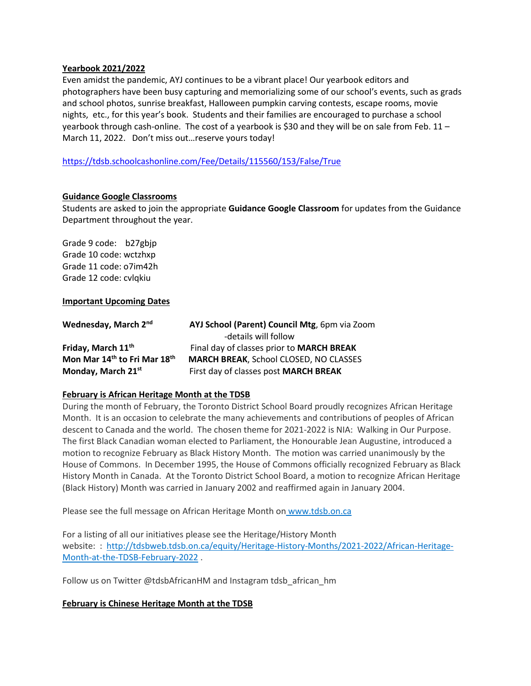#### **Yearbook 2021/2022**

Even amidst the pandemic, AYJ continues to be a vibrant place! Our yearbook editors and photographers have been busy capturing and memorializing some of our school's events, such as grads and school photos, sunrise breakfast, Halloween pumpkin carving contests, escape rooms, movie nights, etc., for this year's book. Students and their families are encouraged to purchase a school yearbook through cash-online. The cost of a yearbook is \$30 and they will be on sale from Feb. 11 – March 11, 2022. Don't miss out…reserve yours today!

<https://tdsb.schoolcashonline.com/Fee/Details/115560/153/False/True>

#### **Guidance Google Classrooms**

Students are asked to join the appropriate **Guidance Google Classroom** for updates from the Guidance Department throughout the year.

Grade 9 code: b27gbjp Grade 10 code: wctzhxp Grade 11 code: o7im42h Grade 12 code: cvlqkiu

#### **Important Upcoming Dates**

| Wednesday, March 2nd                                 | AYJ School (Parent) Council Mtg, 6pm via Zoom |
|------------------------------------------------------|-----------------------------------------------|
|                                                      | -details will follow                          |
| Friday, March 11 <sup>th</sup>                       | Final day of classes prior to MARCH BREAK     |
| Mon Mar 14 <sup>th</sup> to Fri Mar 18 <sup>th</sup> | <b>MARCH BREAK, School CLOSED, NO CLASSES</b> |
| Monday, March 21st                                   | First day of classes post MARCH BREAK         |

#### **February is African Heritage Month at the TDSB**

During the month of February, the Toronto District School Board proudly recognizes African Heritage Month. It is an occasion to celebrate the many achievements and contributions of peoples of African descent to Canada and the world. The chosen theme for 2021-2022 is NIA: Walking in Our Purpose. The first Black Canadian woman elected to Parliament, the Honourable Jean Augustine, introduced a motion to recognize February as Black History Month. The motion was carried unanimously by the House of Commons. In December 1995, the House of Commons officially recognized February as Black History Month in Canada. At the Toronto District School Board, a motion to recognize African Heritage (Black History) Month was carried in January 2002 and reaffirmed again in January 2004.

Please see the full message on African Heritage Month on [www.tdsb.on.ca](http://www.tdsb.on.ca/) 

For a listing of all our initiatives please see the Heritage/History Month website: : [http://tdsbweb.tdsb.on.ca/equity/Heritage-History-Months/2021-2022/African-Heritage-](http://tdsbweb.tdsb.on.ca/equity/Heritage-History-Months/2021-2022/African-Heritage-Month-at-the-TDSB-February-2022)[Month-at-the-TDSB-February-2022](http://tdsbweb.tdsb.on.ca/equity/Heritage-History-Months/2021-2022/African-Heritage-Month-at-the-TDSB-February-2022) .

Follow us on Twitter @tdsbAfricanHM and Instagram tdsb\_african\_hm

## **February is Chinese Heritage Month at the TDSB**